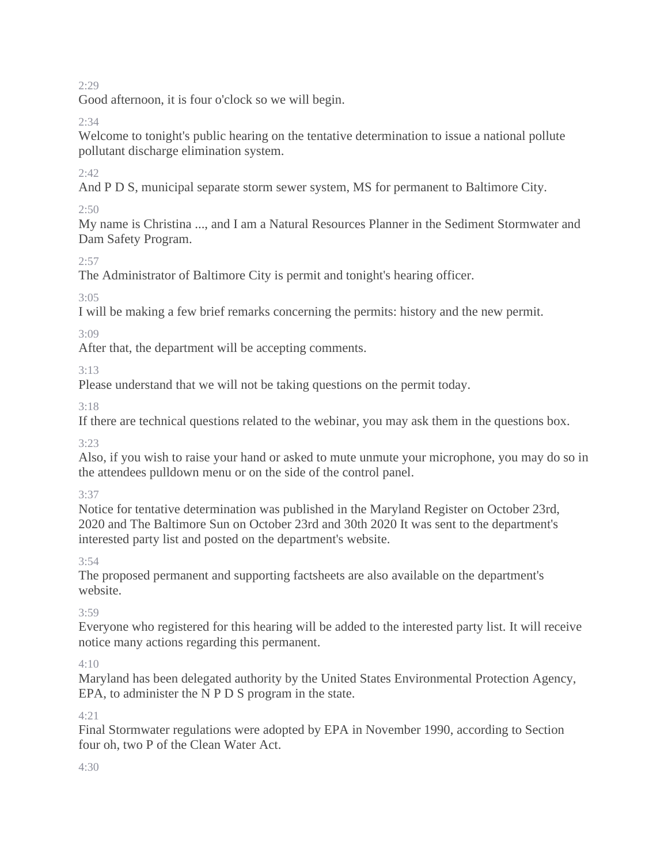2:29

Good afternoon, it is four o'clock so we will begin.

# 2:34

Welcome to tonight's public hearing on the tentative determination to issue a national pollute pollutant discharge elimination system.

# 2:42

And P D S, municipal separate storm sewer system, MS for permanent to Baltimore City.

# $2:50$

My name is Christina ..., and I am a Natural Resources Planner in the Sediment Stormwater and Dam Safety Program.

# $2:57$

The Administrator of Baltimore City is permit and tonight's hearing officer.

3:05

I will be making a few brief remarks concerning the permits: history and the new permit.

3:09

After that, the department will be accepting comments.

3:13

Please understand that we will not be taking questions on the permit today.

3:18

If there are technical questions related to the webinar, you may ask them in the questions box.

3:23

Also, if you wish to raise your hand or asked to mute unmute your microphone, you may do so in the attendees pulldown menu or on the side of the control panel.

3:37

Notice for tentative determination was published in the Maryland Register on October 23rd, 2020 and The Baltimore Sun on October 23rd and 30th 2020 It was sent to the department's interested party list and posted on the department's website.

3:54

The proposed permanent and supporting factsheets are also available on the department's website.

3:59

Everyone who registered for this hearing will be added to the interested party list. It will receive notice many actions regarding this permanent.

 $4:10$ 

Maryland has been delegated authority by the United States Environmental Protection Agency, EPA, to administer the N P D S program in the state.

# $4.21$

Final Stormwater regulations were adopted by EPA in November 1990, according to Section four oh, two P of the Clean Water Act.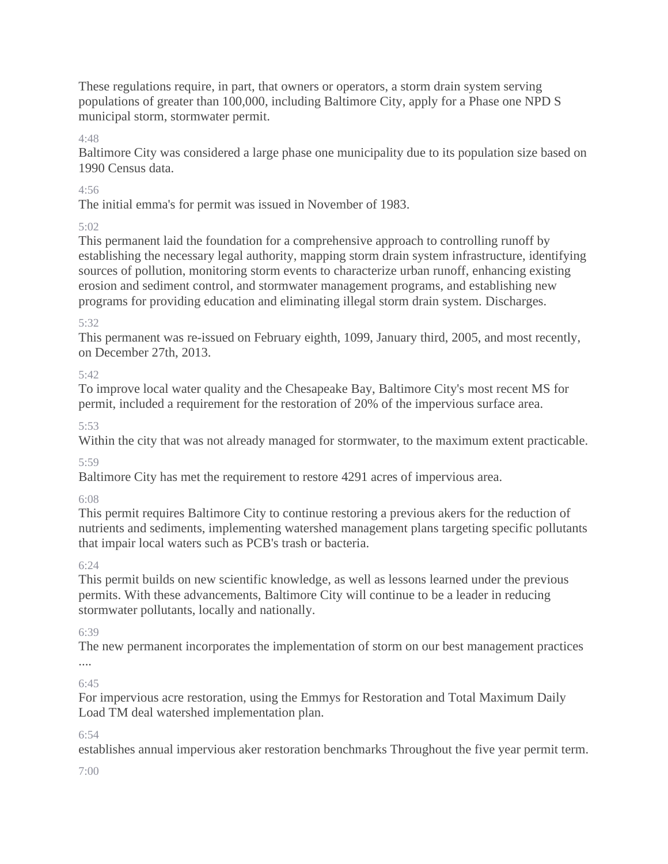These regulations require, in part, that owners or operators, a storm drain system serving populations of greater than 100,000, including Baltimore City, apply for a Phase one NPD S municipal storm, stormwater permit.

4:48

Baltimore City was considered a large phase one municipality due to its population size based on 1990 Census data.

# 4:56

The initial emma's for permit was issued in November of 1983.

# 5:02

This permanent laid the foundation for a comprehensive approach to controlling runoff by establishing the necessary legal authority, mapping storm drain system infrastructure, identifying sources of pollution, monitoring storm events to characterize urban runoff, enhancing existing erosion and sediment control, and stormwater management programs, and establishing new programs for providing education and eliminating illegal storm drain system. Discharges.

# 5:32

This permanent was re-issued on February eighth, 1099, January third, 2005, and most recently, on December 27th, 2013.

# 5:42

To improve local water quality and the Chesapeake Bay, Baltimore City's most recent MS for permit, included a requirement for the restoration of 20% of the impervious surface area.

# 5:53

Within the city that was not already managed for stormwater, to the maximum extent practicable.

5:59

Baltimore City has met the requirement to restore 4291 acres of impervious area.

6:08

This permit requires Baltimore City to continue restoring a previous akers for the reduction of nutrients and sediments, implementing watershed management plans targeting specific pollutants that impair local waters such as PCB's trash or bacteria.

# 6:24

This permit builds on new scientific knowledge, as well as lessons learned under the previous permits. With these advancements, Baltimore City will continue to be a leader in reducing stormwater pollutants, locally and nationally.

# 6:39

The new permanent incorporates the implementation of storm on our best management practices

### .... 6:45

For impervious acre restoration, using the Emmys for Restoration and Total Maximum Daily Load TM deal watershed implementation plan.

# 6:54

establishes annual impervious aker restoration benchmarks Throughout the five year permit term.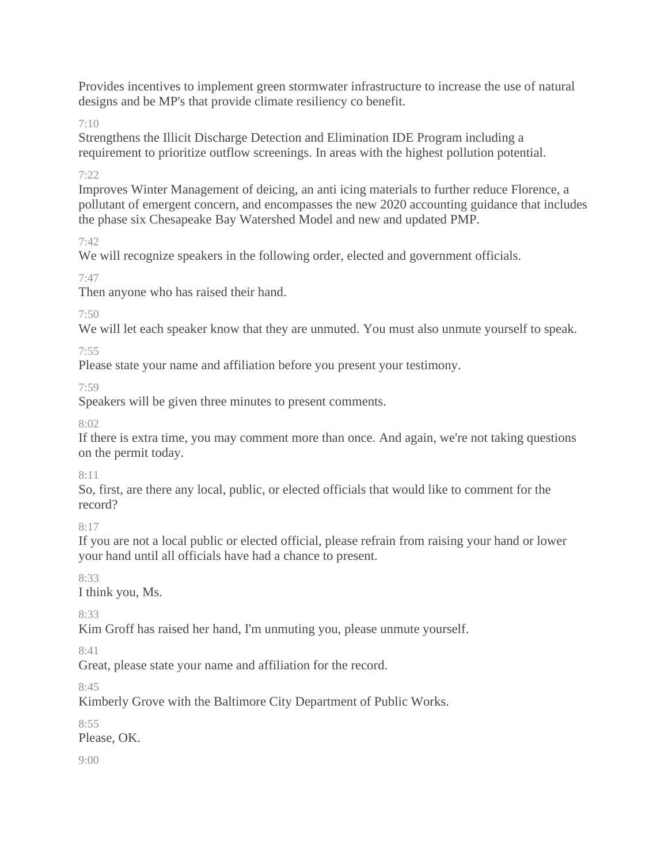Provides incentives to implement green stormwater infrastructure to increase the use of natural designs and be MP's that provide climate resiliency co benefit.

7:10

Strengthens the Illicit Discharge Detection and Elimination IDE Program including a requirement to prioritize outflow screenings. In areas with the highest pollution potential.

7:22

Improves Winter Management of deicing, an anti icing materials to further reduce Florence, a pollutant of emergent concern, and encompasses the new 2020 accounting guidance that includes the phase six Chesapeake Bay Watershed Model and new and updated PMP.

7:42

We will recognize speakers in the following order, elected and government officials.

7:47

Then anyone who has raised their hand.

7:50

We will let each speaker know that they are unmuted. You must also unmute yourself to speak.

7:55

Please state your name and affiliation before you present your testimony.

7:59

Speakers will be given three minutes to present comments.

 $8.02$ 

If there is extra time, you may comment more than once. And again, we're not taking questions on the permit today.

8:11

So, first, are there any local, public, or elected officials that would like to comment for the record?

 $8:17$ 

If you are not a local public or elected official, please refrain from raising your hand or lower your hand until all officials have had a chance to present.

8:33

I think you, Ms.

8:33

Kim Groff has raised her hand, I'm unmuting you, please unmute yourself.

8:41

Great, please state your name and affiliation for the record.

8:45

Kimberly Grove with the Baltimore City Department of Public Works.

 $8.55$ 

Please, OK.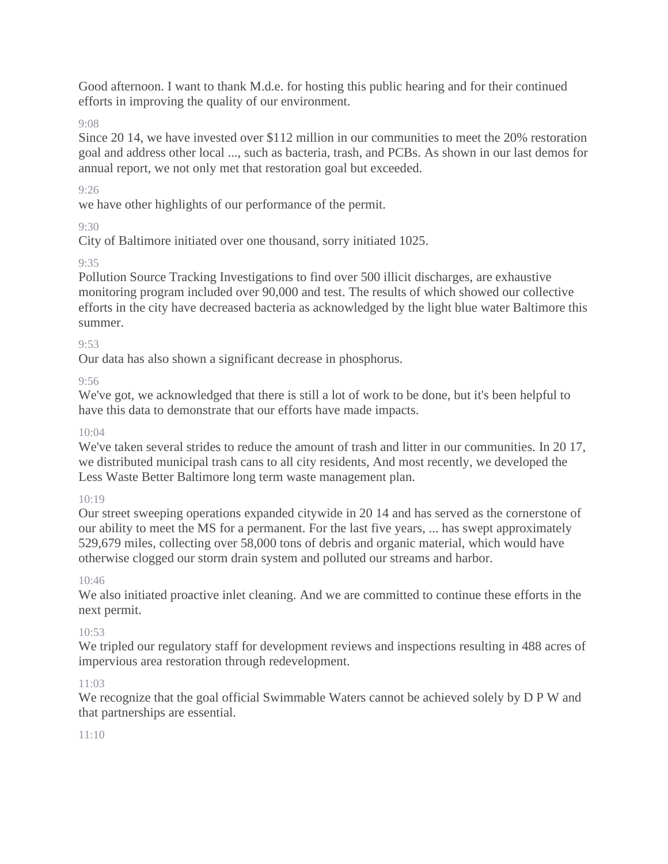Good afternoon. I want to thank M.d.e. for hosting this public hearing and for their continued efforts in improving the quality of our environment.

9:08

Since 20 14, we have invested over \$112 million in our communities to meet the 20% restoration goal and address other local ..., such as bacteria, trash, and PCBs. As shown in our last demos for annual report, we not only met that restoration goal but exceeded.

9:26

we have other highlights of our performance of the permit.

9:30

City of Baltimore initiated over one thousand, sorry initiated 1025.

9:35

Pollution Source Tracking Investigations to find over 500 illicit discharges, are exhaustive monitoring program included over 90,000 and test. The results of which showed our collective efforts in the city have decreased bacteria as acknowledged by the light blue water Baltimore this summer.

9:53

Our data has also shown a significant decrease in phosphorus.

 $9.56$ 

We've got, we acknowledged that there is still a lot of work to be done, but it's been helpful to have this data to demonstrate that our efforts have made impacts.

# $10.04$

We've taken several strides to reduce the amount of trash and litter in our communities. In 2017, we distributed municipal trash cans to all city residents, And most recently, we developed the Less Waste Better Baltimore long term waste management plan.

# 10:19

Our street sweeping operations expanded citywide in 20 14 and has served as the cornerstone of our ability to meet the MS for a permanent. For the last five years, ... has swept approximately 529,679 miles, collecting over 58,000 tons of debris and organic material, which would have otherwise clogged our storm drain system and polluted our streams and harbor.

10:46

We also initiated proactive inlet cleaning. And we are committed to continue these efforts in the next permit.

# $10.53$

We tripled our regulatory staff for development reviews and inspections resulting in 488 acres of impervious area restoration through redevelopment.

# 11:03

We recognize that the goal official Swimmable Waters cannot be achieved solely by D P W and that partnerships are essential.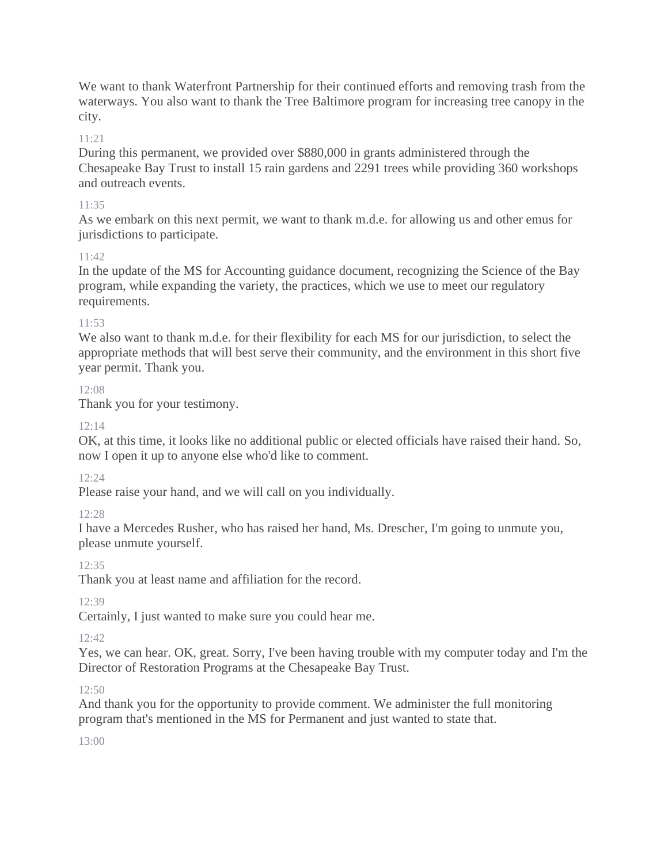We want to thank Waterfront Partnership for their continued efforts and removing trash from the waterways. You also want to thank the Tree Baltimore program for increasing tree canopy in the city.

# 11:21

During this permanent, we provided over \$880,000 in grants administered through the Chesapeake Bay Trust to install 15 rain gardens and 2291 trees while providing 360 workshops and outreach events.

### 11:35

As we embark on this next permit, we want to thank m.d.e. for allowing us and other emus for jurisdictions to participate.

### $11.42$

In the update of the MS for Accounting guidance document, recognizing the Science of the Bay program, while expanding the variety, the practices, which we use to meet our regulatory requirements.

### 11:53

We also want to thank m.d.e. for their flexibility for each MS for our jurisdiction, to select the appropriate methods that will best serve their community, and the environment in this short five year permit. Thank you.

### 12:08

Thank you for your testimony.

### 12:14

OK, at this time, it looks like no additional public or elected officials have raised their hand. So, now I open it up to anyone else who'd like to comment.

### 12:24

Please raise your hand, and we will call on you individually.

### 12:28

I have a Mercedes Rusher, who has raised her hand, Ms. Drescher, I'm going to unmute you, please unmute yourself.

### 12:35

Thank you at least name and affiliation for the record.

12:39

Certainly, I just wanted to make sure you could hear me.

### 12:42

Yes, we can hear. OK, great. Sorry, I've been having trouble with my computer today and I'm the Director of Restoration Programs at the Chesapeake Bay Trust.

### 12:50

And thank you for the opportunity to provide comment. We administer the full monitoring program that's mentioned in the MS for Permanent and just wanted to state that.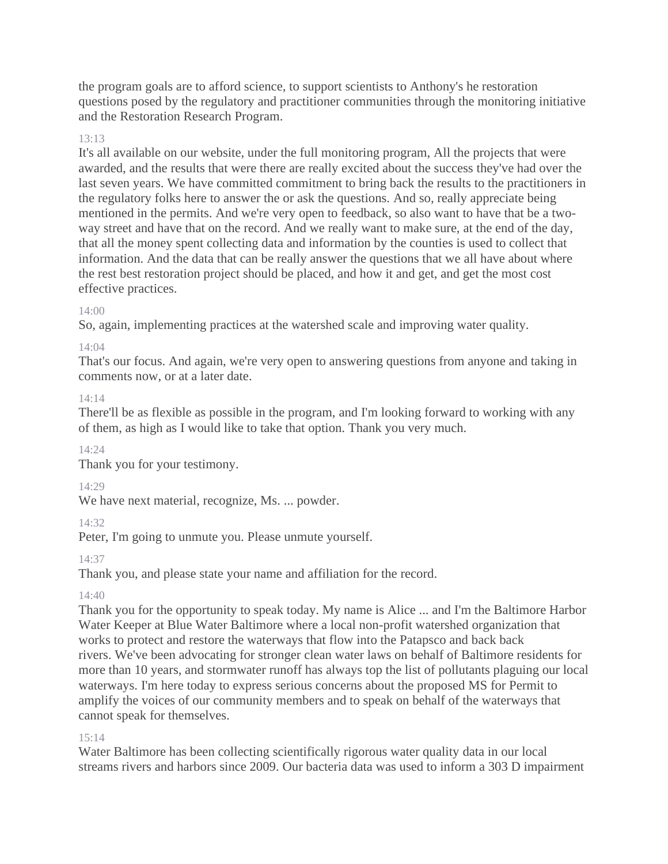the program goals are to afford science, to support scientists to Anthony's he restoration questions posed by the regulatory and practitioner communities through the monitoring initiative and the Restoration Research Program.

### 13:13

It's all available on our website, under the full monitoring program, All the projects that were awarded, and the results that were there are really excited about the success they've had over the last seven years. We have committed commitment to bring back the results to the practitioners in the regulatory folks here to answer the or ask the questions. And so, really appreciate being mentioned in the permits. And we're very open to feedback, so also want to have that be a twoway street and have that on the record. And we really want to make sure, at the end of the day, that all the money spent collecting data and information by the counties is used to collect that information. And the data that can be really answer the questions that we all have about where the rest best restoration project should be placed, and how it and get, and get the most cost effective practices.

### $14:00$

So, again, implementing practices at the watershed scale and improving water quality.

### 14:04

That's our focus. And again, we're very open to answering questions from anyone and taking in comments now, or at a later date.

### 14:14

There'll be as flexible as possible in the program, and I'm looking forward to working with any of them, as high as I would like to take that option. Thank you very much.

# 14:24

Thank you for your testimony.

# 14:29

We have next material, recognize, Ms. ... powder.

# 14:32

Peter, I'm going to unmute you. Please unmute yourself.

# 14:37

Thank you, and please state your name and affiliation for the record.

# 14:40

Thank you for the opportunity to speak today. My name is Alice ... and I'm the Baltimore Harbor Water Keeper at Blue Water Baltimore where a local non-profit watershed organization that works to protect and restore the waterways that flow into the Patapsco and back back rivers. We've been advocating for stronger clean water laws on behalf of Baltimore residents for more than 10 years, and stormwater runoff has always top the list of pollutants plaguing our local waterways. I'm here today to express serious concerns about the proposed MS for Permit to amplify the voices of our community members and to speak on behalf of the waterways that cannot speak for themselves.

# 15:14

Water Baltimore has been collecting scientifically rigorous water quality data in our local streams rivers and harbors since 2009. Our bacteria data was used to inform a 303 D impairment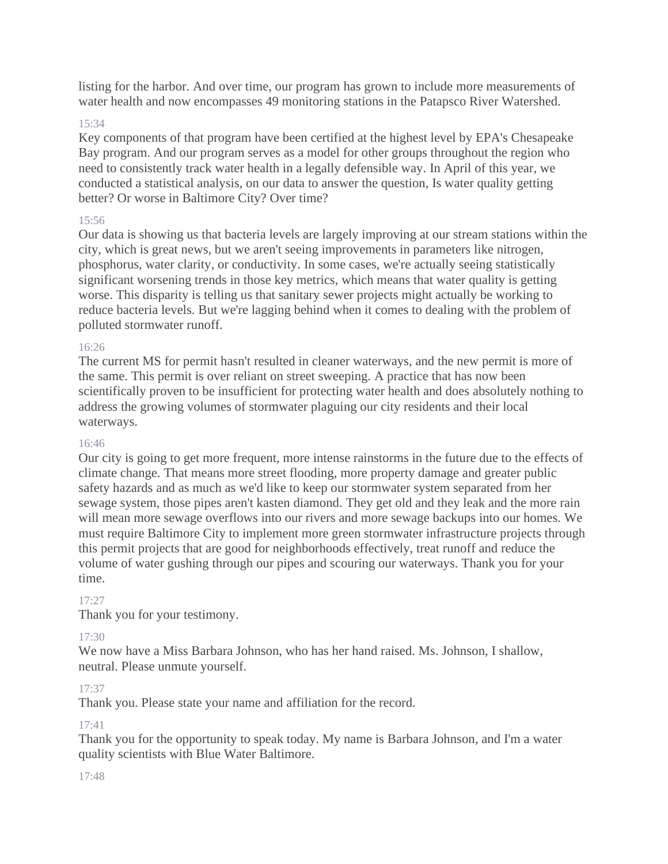listing for the harbor. And over time, our program has grown to include more measurements of water health and now encompasses 49 monitoring stations in the Patapsco River Watershed.

### 15:34

Key components of that program have been certified at the highest level by EPA's Chesapeake Bay program. And our program serves as a model for other groups throughout the region who need to consistently track water health in a legally defensible way. In April of this year, we conducted a statistical analysis, on our data to answer the question, Is water quality getting better? Or worse in Baltimore City? Over time?

#### 15:56

Our data is showing us that bacteria levels are largely improving at our stream stations within the city, which is great news, but we aren't seeing improvements in parameters like nitrogen, phosphorus, water clarity, or conductivity. In some cases, we're actually seeing statistically significant worsening trends in those key metrics, which means that water quality is getting worse. This disparity is telling us that sanitary sewer projects might actually be working to reduce bacteria levels. But we're lagging behind when it comes to dealing with the problem of polluted stormwater runoff.

#### 16:26

The current MS for permit hasn't resulted in cleaner waterways, and the new permit is more of the same. This permit is over reliant on street sweeping. A practice that has now been scientifically proven to be insufficient for protecting water health and does absolutely nothing to address the growing volumes of stormwater plaguing our city residents and their local waterways.

#### 16:46

Our city is going to get more frequent, more intense rainstorms in the future due to the effects of climate change. That means more street flooding, more property damage and greater public safety hazards and as much as we'd like to keep our stormwater system separated from her sewage system, those pipes aren't kasten diamond. They get old and they leak and the more rain will mean more sewage overflows into our rivers and more sewage backups into our homes. We must require Baltimore City to implement more green stormwater infrastructure projects through this permit projects that are good for neighborhoods effectively, treat runoff and reduce the volume of water gushing through our pipes and scouring our waterways. Thank you for your time.

### 17:27

Thank you for your testimony.

### 17:30

We now have a Miss Barbara Johnson, who has her hand raised. Ms. Johnson, I shallow, neutral. Please unmute yourself.

#### 17:37

Thank you. Please state your name and affiliation for the record.

### 17:41

Thank you for the opportunity to speak today. My name is Barbara Johnson, and I'm a water quality scientists with Blue Water Baltimore.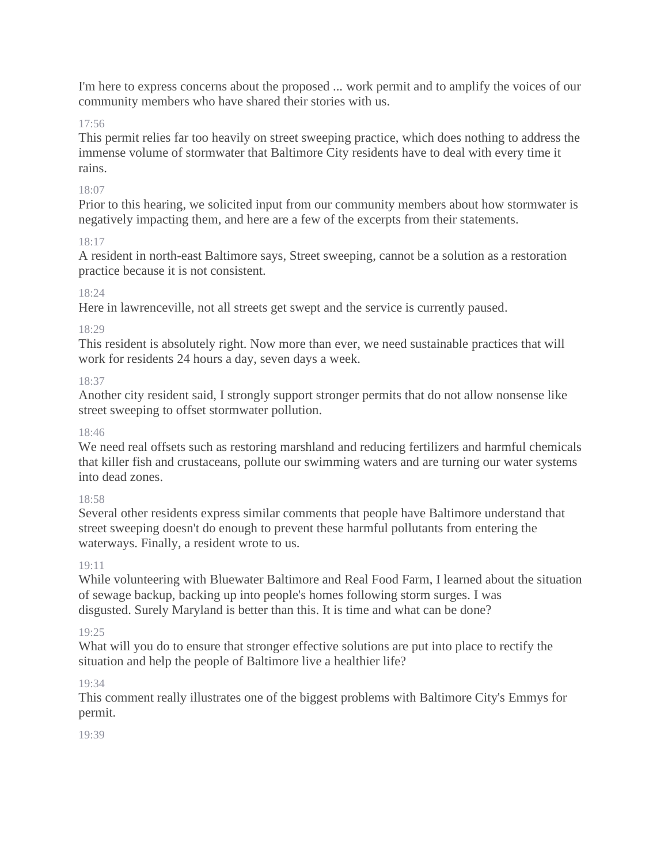I'm here to express concerns about the proposed ... work permit and to amplify the voices of our community members who have shared their stories with us.

### 17:56

This permit relies far too heavily on street sweeping practice, which does nothing to address the immense volume of stormwater that Baltimore City residents have to deal with every time it rains.

### 18:07

Prior to this hearing, we solicited input from our community members about how stormwater is negatively impacting them, and here are a few of the excerpts from their statements.

### 18:17

A resident in north-east Baltimore says, Street sweeping, cannot be a solution as a restoration practice because it is not consistent.

### 18:24

Here in lawrenceville, not all streets get swept and the service is currently paused.

### 18:29

This resident is absolutely right. Now more than ever, we need sustainable practices that will work for residents 24 hours a day, seven days a week.

### 18:37

Another city resident said, I strongly support stronger permits that do not allow nonsense like street sweeping to offset stormwater pollution.

### 18:46

We need real offsets such as restoring marshland and reducing fertilizers and harmful chemicals that killer fish and crustaceans, pollute our swimming waters and are turning our water systems into dead zones.

### 18:58

Several other residents express similar comments that people have Baltimore understand that street sweeping doesn't do enough to prevent these harmful pollutants from entering the waterways. Finally, a resident wrote to us.

### 19:11

While volunteering with Bluewater Baltimore and Real Food Farm, I learned about the situation of sewage backup, backing up into people's homes following storm surges. I was disgusted. Surely Maryland is better than this. It is time and what can be done?

# 19:25

What will you do to ensure that stronger effective solutions are put into place to rectify the situation and help the people of Baltimore live a healthier life?

# 19:34

This comment really illustrates one of the biggest problems with Baltimore City's Emmys for permit.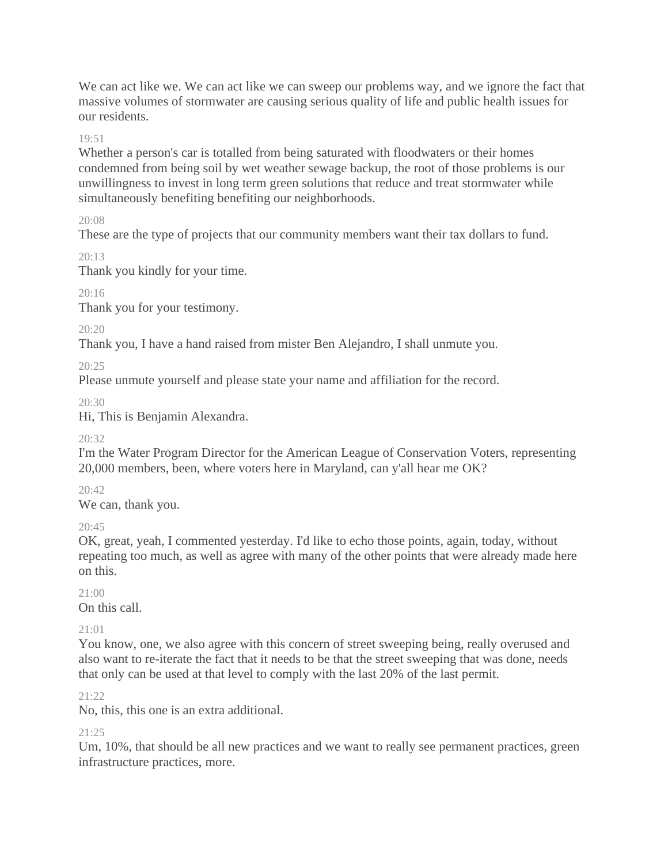We can act like we. We can act like we can sweep our problems way, and we ignore the fact that massive volumes of stormwater are causing serious quality of life and public health issues for our residents.

### 19:51

Whether a person's car is totalled from being saturated with floodwaters or their homes condemned from being soil by wet weather sewage backup, the root of those problems is our unwillingness to invest in long term green solutions that reduce and treat stormwater while simultaneously benefiting benefiting our neighborhoods.

20:08

These are the type of projects that our community members want their tax dollars to fund.

 $20.13$ 

Thank you kindly for your time.

20:16

Thank you for your testimony.

 $20.20$ 

Thank you, I have a hand raised from mister Ben Alejandro, I shall unmute you.

20:25

Please unmute yourself and please state your name and affiliation for the record.

20:30

Hi, This is Benjamin Alexandra.

20:32

I'm the Water Program Director for the American League of Conservation Voters, representing 20,000 members, been, where voters here in Maryland, can y'all hear me OK?

20:42

We can, thank you.

 $20.45$ 

OK, great, yeah, I commented yesterday. I'd like to echo those points, again, today, without repeating too much, as well as agree with many of the other points that were already made here on this.

 $21:00$ 

On this call.

21:01

You know, one, we also agree with this concern of street sweeping being, really overused and also want to re-iterate the fact that it needs to be that the street sweeping that was done, needs that only can be used at that level to comply with the last 20% of the last permit.

 $21.22$ 

No, this, this one is an extra additional.

21:25

Um, 10%, that should be all new practices and we want to really see permanent practices, green infrastructure practices, more.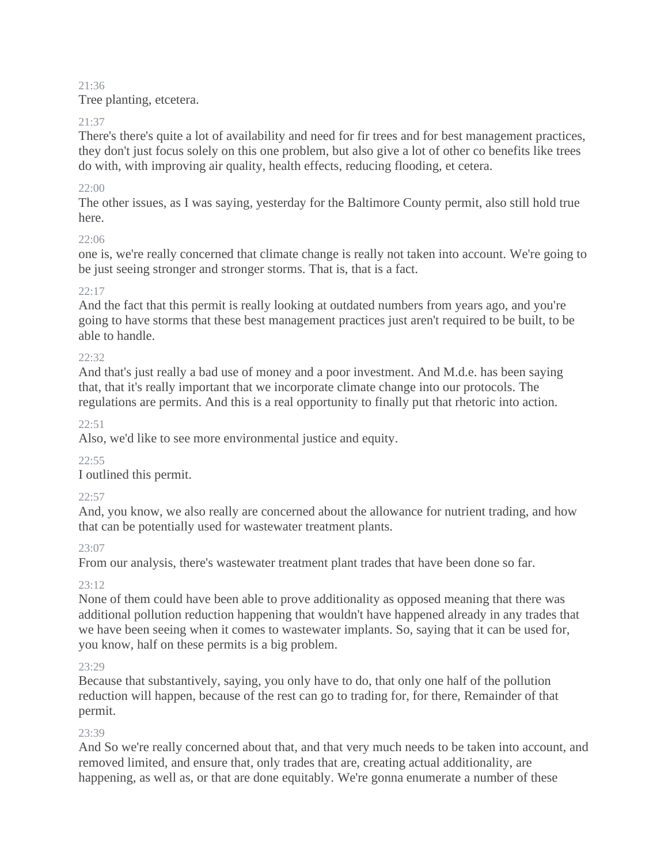### 21:36

Tree planting, etcetera.

# 21:37

There's there's quite a lot of availability and need for fir trees and for best management practices, they don't just focus solely on this one problem, but also give a lot of other co benefits like trees do with, with improving air quality, health effects, reducing flooding, et cetera.

# 22:00

The other issues, as I was saying, yesterday for the Baltimore County permit, also still hold true here.

# $22.06$

one is, we're really concerned that climate change is really not taken into account. We're going to be just seeing stronger and stronger storms. That is, that is a fact.

# 22:17

And the fact that this permit is really looking at outdated numbers from years ago, and you're going to have storms that these best management practices just aren't required to be built, to be able to handle.

# $22.32$

And that's just really a bad use of money and a poor investment. And M.d.e. has been saying that, that it's really important that we incorporate climate change into our protocols. The regulations are permits. And this is a real opportunity to finally put that rhetoric into action.

 $22.51$ 

Also, we'd like to see more environmental justice and equity.

# $22:55$

I outlined this permit.

# $22:57$

And, you know, we also really are concerned about the allowance for nutrient trading, and how that can be potentially used for wastewater treatment plants.

# 23:07

From our analysis, there's wastewater treatment plant trades that have been done so far.

# 23:12

None of them could have been able to prove additionality as opposed meaning that there was additional pollution reduction happening that wouldn't have happened already in any trades that we have been seeing when it comes to wastewater implants. So, saying that it can be used for, you know, half on these permits is a big problem.

# 23:29

Because that substantively, saying, you only have to do, that only one half of the pollution reduction will happen, because of the rest can go to trading for, for there, Remainder of that permit.

# 23:39

And So we're really concerned about that, and that very much needs to be taken into account, and removed limited, and ensure that, only trades that are, creating actual additionality, are happening, as well as, or that are done equitably. We're gonna enumerate a number of these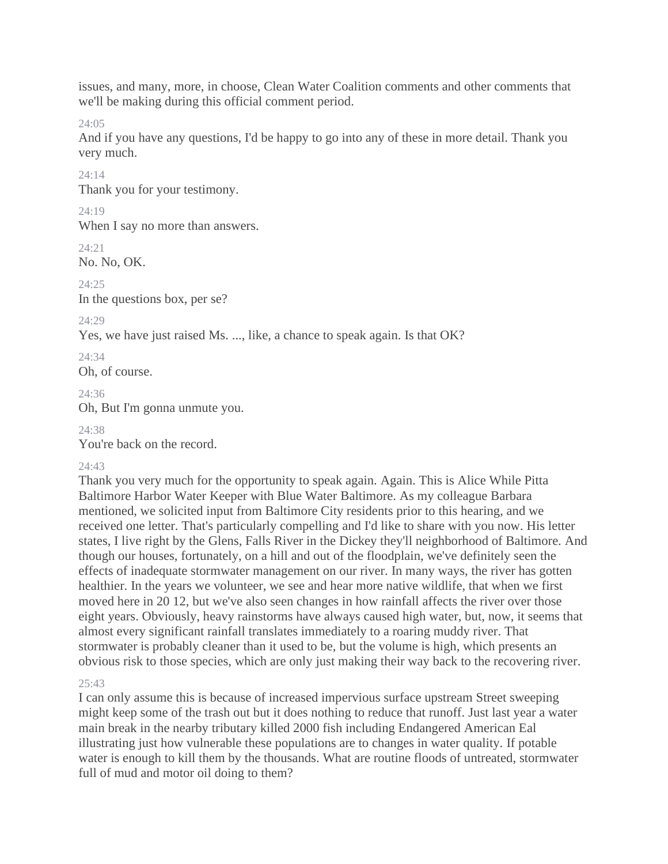issues, and many, more, in choose, Clean Water Coalition comments and other comments that we'll be making during this official comment period.

24:05

And if you have any questions, I'd be happy to go into any of these in more detail. Thank you very much.

24:14

Thank you for your testimony.

24:19

When I say no more than answers.

24:21

No. No, OK.

 $24.25$ 

In the questions box, per se?

24:29

Yes, we have just raised Ms. ..., like, a chance to speak again. Is that OK?

 $24.34$ 

Oh, of course.

24:36

Oh, But I'm gonna unmute you.

 $24.38$ 

You're back on the record.

# 24:43

Thank you very much for the opportunity to speak again. Again. This is Alice While Pitta Baltimore Harbor Water Keeper with Blue Water Baltimore. As my colleague Barbara mentioned, we solicited input from Baltimore City residents prior to this hearing, and we received one letter. That's particularly compelling and I'd like to share with you now. His letter states, I live right by the Glens, Falls River in the Dickey they'll neighborhood of Baltimore. And though our houses, fortunately, on a hill and out of the floodplain, we've definitely seen the effects of inadequate stormwater management on our river. In many ways, the river has gotten healthier. In the years we volunteer, we see and hear more native wildlife, that when we first moved here in 20 12, but we've also seen changes in how rainfall affects the river over those eight years. Obviously, heavy rainstorms have always caused high water, but, now, it seems that almost every significant rainfall translates immediately to a roaring muddy river. That stormwater is probably cleaner than it used to be, but the volume is high, which presents an obvious risk to those species, which are only just making their way back to the recovering river.

### 25:43

I can only assume this is because of increased impervious surface upstream Street sweeping might keep some of the trash out but it does nothing to reduce that runoff. Just last year a water main break in the nearby tributary killed 2000 fish including Endangered American Eal illustrating just how vulnerable these populations are to changes in water quality. If potable water is enough to kill them by the thousands. What are routine floods of untreated, stormwater full of mud and motor oil doing to them?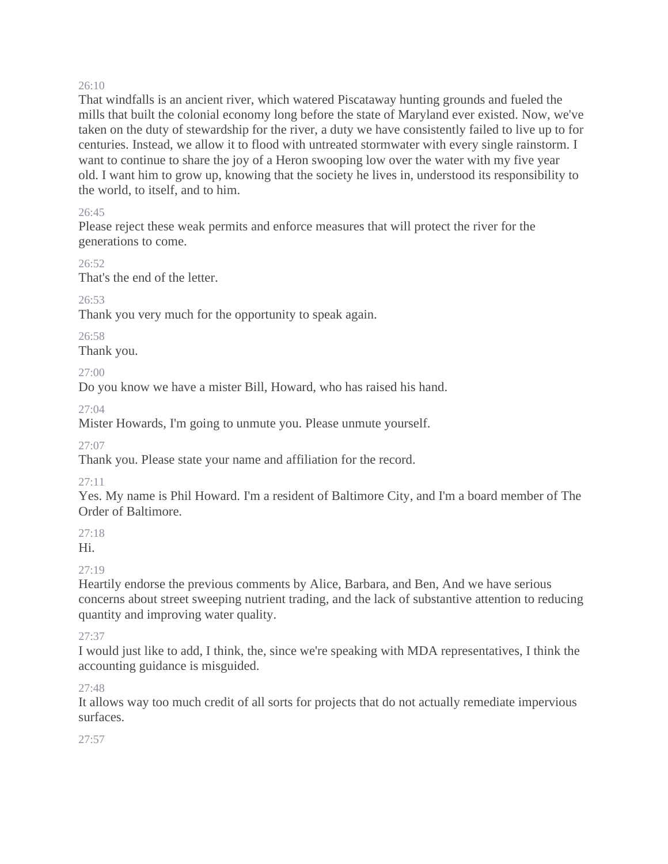#### 26:10

That windfalls is an ancient river, which watered Piscataway hunting grounds and fueled the mills that built the colonial economy long before the state of Maryland ever existed. Now, we've taken on the duty of stewardship for the river, a duty we have consistently failed to live up to for centuries. Instead, we allow it to flood with untreated stormwater with every single rainstorm. I want to continue to share the joy of a Heron swooping low over the water with my five year old. I want him to grow up, knowing that the society he lives in, understood its responsibility to the world, to itself, and to him.

### 26:45

Please reject these weak permits and enforce measures that will protect the river for the generations to come.

 $26.52$ That's the end of the letter.

# $26.53$

Thank you very much for the opportunity to speak again.

### 26:58

Thank you.

# $27:00$

Do you know we have a mister Bill, Howard, who has raised his hand.

# 27:04

Mister Howards, I'm going to unmute you. Please unmute yourself.

27:07

Thank you. Please state your name and affiliation for the record.

# 27:11

Yes. My name is Phil Howard. I'm a resident of Baltimore City, and I'm a board member of The Order of Baltimore.

27:18

# Hi.

# $27.19$

Heartily endorse the previous comments by Alice, Barbara, and Ben, And we have serious concerns about street sweeping nutrient trading, and the lack of substantive attention to reducing quantity and improving water quality.

# 27:37

I would just like to add, I think, the, since we're speaking with MDA representatives, I think the accounting guidance is misguided.

# 27:48

It allows way too much credit of all sorts for projects that do not actually remediate impervious surfaces.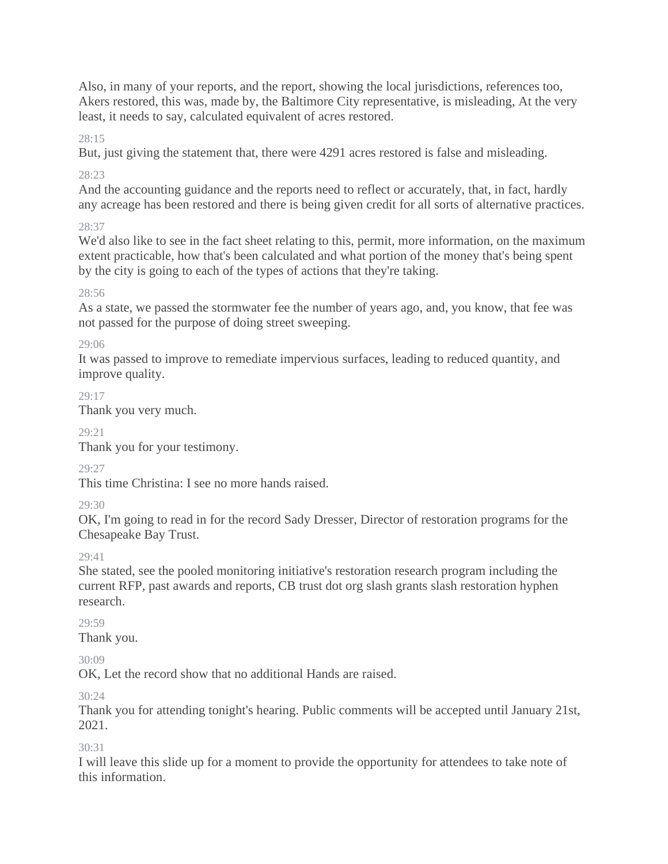Also, in many of your reports, and the report, showing the local jurisdictions, references too, Akers restored, this was, made by, the Baltimore City representative, is misleading, At the very least, it needs to say, calculated equivalent of acres restored.

 $28.15$ 

But, just giving the statement that, there were 4291 acres restored is false and misleading.

28:23

And the accounting guidance and the reports need to reflect or accurately, that, in fact, hardly any acreage has been restored and there is being given credit for all sorts of alternative practices.

28:37

We'd also like to see in the fact sheet relating to this, permit, more information, on the maximum extent practicable, how that's been calculated and what portion of the money that's being spent by the city is going to each of the types of actions that they're taking.

# 28:56

As a state, we passed the stormwater fee the number of years ago, and, you know, that fee was not passed for the purpose of doing street sweeping.

# 29:06

It was passed to improve to remediate impervious surfaces, leading to reduced quantity, and improve quality.

29:17

Thank you very much.

29:21

Thank you for your testimony.

29:27

This time Christina: I see no more hands raised.

 $29.30$ 

OK, I'm going to read in for the record Sady Dresser, Director of restoration programs for the Chesapeake Bay Trust.

29:41

She stated, see the pooled monitoring initiative's restoration research program including the current RFP, past awards and reports, CB trust dot org slash grants slash restoration hyphen research.

# 29:59

Thank you.

30:09

OK, Let the record show that no additional Hands are raised.

 $30.24$ 

Thank you for attending tonight's hearing. Public comments will be accepted until January 21st, 2021.

 $30.31$ 

I will leave this slide up for a moment to provide the opportunity for attendees to take note of this information.